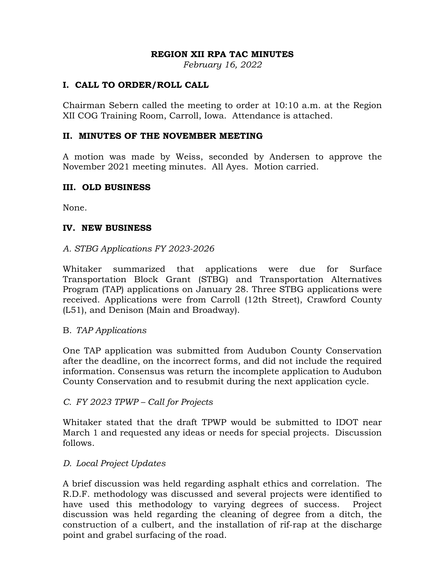# **REGION XII RPA TAC MINUTES**

*February 16, 2022* 

# **I. CALL TO ORDER/ROLL CALL**

Chairman Sebern called the meeting to order at 10:10 a.m. at the Region XII COG Training Room, Carroll, Iowa. Attendance is attached.

# **II. MINUTES OF THE NOVEMBER MEETING**

A motion was made by Weiss, seconded by Andersen to approve the November 2021 meeting minutes. All Ayes. Motion carried.

# **III. OLD BUSINESS**

None.

# **IV. NEW BUSINESS**

# *A. STBG Applications FY 2023-2026*

Whitaker summarized that applications were due for Surface Transportation Block Grant (STBG) and Transportation Alternatives Program (TAP) applications on January 28. Three STBG applications were received. Applications were from Carroll (12th Street), Crawford County (L51), and Denison (Main and Broadway).

#### B. *TAP Applications*

One TAP application was submitted from Audubon County Conservation after the deadline, on the incorrect forms, and did not include the required information. Consensus was return the incomplete application to Audubon County Conservation and to resubmit during the next application cycle.

#### *C. FY 2023 TPWP – Call for Projects*

Whitaker stated that the draft TPWP would be submitted to IDOT near March 1 and requested any ideas or needs for special projects. Discussion follows.

# *D. Local Project Updates*

A brief discussion was held regarding asphalt ethics and correlation. The R.D.F. methodology was discussed and several projects were identified to have used this methodology to varying degrees of success. Project discussion was held regarding the cleaning of degree from a ditch, the construction of a culbert, and the installation of rif-rap at the discharge point and grabel surfacing of the road.